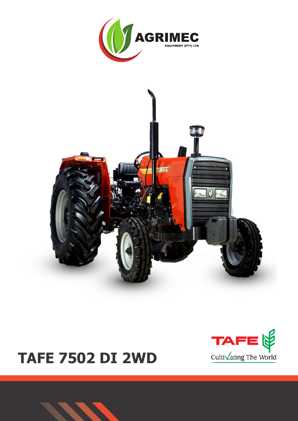





# **TAFE 7502 DI 2WD**